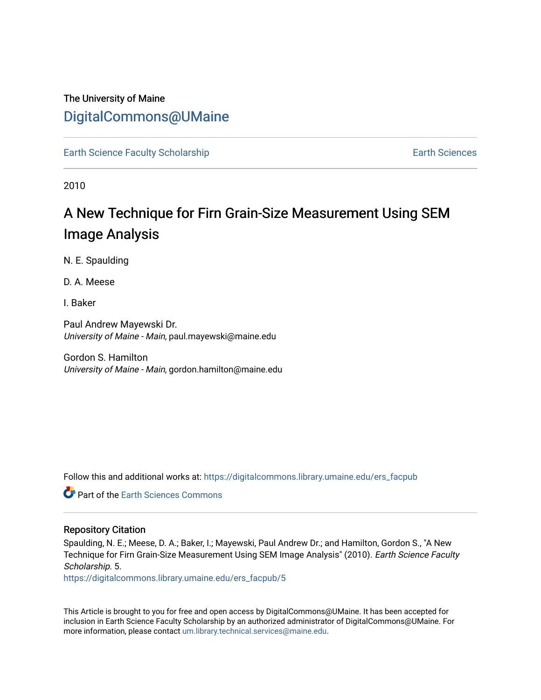# The University of Maine [DigitalCommons@UMaine](https://digitalcommons.library.umaine.edu/)

[Earth Science Faculty Scholarship](https://digitalcommons.library.umaine.edu/ers_facpub) Earth Sciences

2010

# A New Technique for Firn Grain-Size Measurement Using SEM Image Analysis

N. E. Spaulding

D. A. Meese

I. Baker

Paul Andrew Mayewski Dr. University of Maine - Main, paul.mayewski@maine.edu

Gordon S. Hamilton University of Maine - Main, gordon.hamilton@maine.edu

Follow this and additional works at: [https://digitalcommons.library.umaine.edu/ers\\_facpub](https://digitalcommons.library.umaine.edu/ers_facpub?utm_source=digitalcommons.library.umaine.edu%2Fers_facpub%2F5&utm_medium=PDF&utm_campaign=PDFCoverPages) 

**C** Part of the Earth Sciences Commons

### Repository Citation

Spaulding, N. E.; Meese, D. A.; Baker, I.; Mayewski, Paul Andrew Dr.; and Hamilton, Gordon S., "A New Technique for Firn Grain-Size Measurement Using SEM Image Analysis" (2010). Earth Science Faculty Scholarship. 5.

[https://digitalcommons.library.umaine.edu/ers\\_facpub/5](https://digitalcommons.library.umaine.edu/ers_facpub/5?utm_source=digitalcommons.library.umaine.edu%2Fers_facpub%2F5&utm_medium=PDF&utm_campaign=PDFCoverPages) 

This Article is brought to you for free and open access by DigitalCommons@UMaine. It has been accepted for inclusion in Earth Science Faculty Scholarship by an authorized administrator of DigitalCommons@UMaine. For more information, please contact [um.library.technical.services@maine.edu](mailto:um.library.technical.services@maine.edu).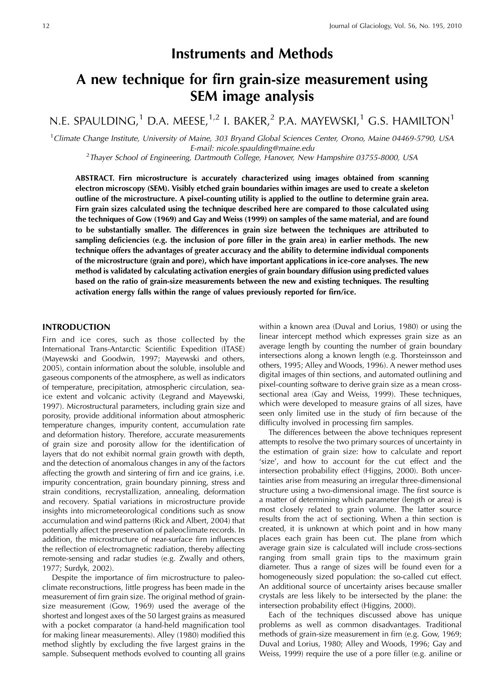# **Instruments and Methods**

# A new technique for firn grain-size measurement using **SEM** image analysis

N.E. SPAULDING,<sup>1</sup> D.A. MEESE,<sup>1,2</sup> I. BAKER,<sup>2</sup> P.A. MAYEWSKI,<sup>1</sup> G.S. HAMILTON<sup>1</sup>

<sup>1</sup>Climate Change Institute, University of Maine, 303 Bryand Global Sciences Center, Orono, Maine 04469-5790, USA E-mail: nicole.spaulding@maine.edu

<sup>2</sup>Thayer School of Engineering, Dartmouth College, Hanover, New Hampshire 03755-8000, USA

ABSTRACT. Firn microstructure is accurately characterized using images obtained from scanning electron microscopy (SEM). Visibly etched grain boundaries within images are used to create a skeleton outline of the microstructure. A pixel-counting utility is applied to the outline to determine grain area. Firn grain sizes calculated using the technique described here are compared to those calculated using the techniques of Gow (1969) and Gay and Weiss (1999) on samples of the same material, and are found to be substantially smaller. The differences in grain size between the techniques are attributed to sampling deficiencies (e.g. the inclusion of pore filler in the grain area) in earlier methods. The new technique offers the advantages of greater accuracy and the ability to determine individual components of the microstructure (grain and pore), which have important applications in ice-core analyses. The new method is validated by calculating activation energies of grain boundary diffusion using predicted values based on the ratio of grain-size measurements between the new and existing techniques. The resulting activation energy falls within the range of values previously reported for firn/ice.

## **INTRODUCTION**

Firn and ice cores, such as those collected by the International Trans-Antarctic Scientific Expedition (ITASE) (Mayewski and Goodwin, 1997; Mayewski and others, 2005), contain information about the soluble, insoluble and gaseous components of the atmosphere, as well as indicators of temperature, precipitation, atmospheric circulation, seaice extent and volcanic activity (Legrand and Mayewski, 1997). Microstructural parameters, including grain size and porosity, provide additional information about atmospheric temperature changes, impurity content, accumulation rate and deformation history. Therefore, accurate measurements of grain size and porosity allow for the identification of layers that do not exhibit normal grain growth with depth, and the detection of anomalous changes in any of the factors affecting the growth and sintering of firn and ice grains, i.e. impurity concentration, grain boundary pinning, stress and strain conditions, recrystallization, annealing, deformation and recovery. Spatial variations in microstructure provide insights into micrometeorological conditions such as snow accumulation and wind patterns (Rick and Albert, 2004) that potentially affect the preservation of paleoclimate records. In addition, the microstructure of near-surface firn influences the reflection of electromagnetic radiation, thereby affecting remote-sensing and radar studies (e.g. Zwally and others, 1977; Surdyk, 2002).

Despite the importance of firn microstructure to paleoclimate reconstructions, little progress has been made in the measurement of firn grain size. The original method of grainsize measurement (Gow, 1969) used the average of the shortest and longest axes of the 50 largest grains as measured with a pocket comparator (a hand-held magnification tool for making linear measurements). Alley (1980) modified this method slightly by excluding the five largest grains in the sample. Subsequent methods evolved to counting all grains within a known area (Duval and Lorius, 1980) or using the linear intercept method which expresses grain size as an average length by counting the number of grain boundary intersections along a known length (e.g. Thorsteinsson and others, 1995; Alley and Woods, 1996). A newer method uses digital images of thin sections, and automated outlining and pixel-counting software to derive grain size as a mean crosssectional area (Gay and Weiss, 1999). These techniques, which were developed to measure grains of all sizes, have seen only limited use in the study of firn because of the difficulty involved in processing firn samples.

The differences between the above techniques represent attempts to resolve the two primary sources of uncertainty in the estimation of grain size: how to calculate and report 'size', and how to account for the cut effect and the intersection probability effect (Higgins, 2000). Both uncertainties arise from measuring an irregular three-dimensional structure using a two-dimensional image. The first source is a matter of determining which parameter (length or area) is most closely related to grain volume. The latter source results from the act of sectioning. When a thin section is created, it is unknown at which point and in how many places each grain has been cut. The plane from which average grain size is calculated will include cross-sections ranging from small grain tips to the maximum grain diameter. Thus a range of sizes will be found even for a homogeneously sized population: the so-called cut effect. An additional source of uncertainty arises because smaller crystals are less likely to be intersected by the plane: the intersection probability effect (Higgins, 2000).

Each of the techniques discussed above has unique problems as well as common disadvantages. Traditional methods of grain-size measurement in firn (e.g. Gow, 1969; Duval and Lorius, 1980; Alley and Woods, 1996; Gay and Weiss, 1999) require the use of a pore filler (e.g. aniline or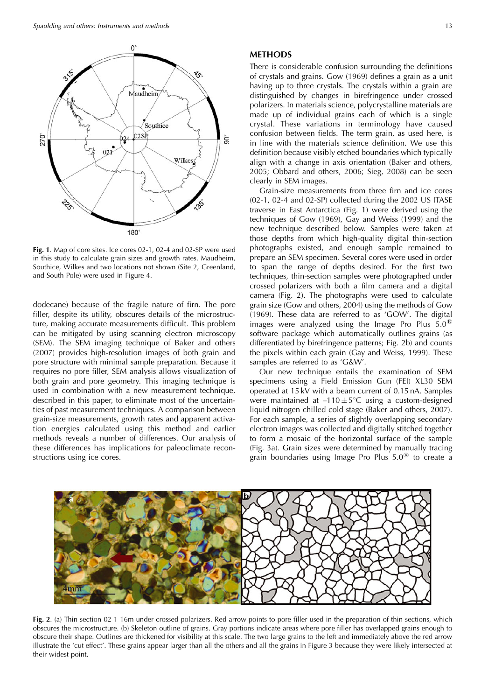

Fig. 1. Map of core sites. Ice cores 02-1, 02-4 and 02-SP were used in this study to calculate grain sizes and growth rates. Maudheim, Southice, Wilkes and two locations not shown (Site 2, Greenland, and South Pole) were used in Figure 4.

dodecane) because of the fragile nature of firn. The pore filler, despite its utility, obscures details of the microstructure, making accurate measurements difficult. This problem can be mitigated by using scanning electron microscopy (SEM). The SEM imaging technique of Baker and others (2007) provides high-resolution images of both grain and pore structure with minimal sample preparation. Because it requires no pore filler, SEM analysis allows visualization of both grain and pore geometry. This imaging technique is used in combination with a new measurement technique, described in this paper, to eliminate most of the uncertainties of past measurement techniques. A comparison between grain-size measurements, growth rates and apparent activation energies calculated using this method and earlier methods reveals a number of differences. Our analysis of these differences has implications for paleoclimate reconstructions using ice cores.

#### **METHODS**

There is considerable confusion surrounding the definitions of crystals and grains. Gow (1969) defines a grain as a unit having up to three crystals. The crystals within a grain are distinguished by changes in birefringence under crossed polarizers. In materials science, polycrystalline materials are made up of individual grains each of which is a single crystal. These variations in terminology have caused confusion between fields. The term grain, as used here, is in line with the materials science definition. We use this definition because visibly etched boundaries which typically align with a change in axis orientation (Baker and others, 2005; Obbard and others, 2006; Sieg, 2008) can be seen clearly in SEM images.

Grain-size measurements from three firn and ice cores (02-1, 02-4 and 02-SP) collected during the 2002 US ITASE traverse in East Antarctica (Fig. 1) were derived using the techniques of Gow (1969), Gay and Weiss (1999) and the new technique described below. Samples were taken at those depths from which high-quality digital thin-section photographs existed, and enough sample remained to prepare an SEM specimen. Several cores were used in order to span the range of depths desired. For the first two techniques, thin-section samples were photographed under crossed polarizers with both a film camera and a digital camera (Fig. 2). The photographs were used to calculate grain size (Gow and others, 2004) using the methods of Gow (1969). These data are referred to as 'GOW'. The digital images were analyzed using the Image Pro Plus  $5.0^{\circledR}$ software package which automatically outlines grains (as differentiated by birefringence patterns; Fig. 2b) and counts the pixels within each grain (Gay and Weiss, 1999). These samples are referred to as 'G&W'.

Our new technique entails the examination of SEM specimens using a Field Emission Gun (FEI) XL30 SEM operated at 15 kV with a beam current of 0.15 nA. Samples were maintained at  $-110 \pm 5^{\circ}$ C using a custom-designed liquid nitrogen chilled cold stage (Baker and others, 2007). For each sample, a series of slightly overlapping secondary electron images was collected and digitally stitched together to form a mosaic of the horizontal surface of the sample (Fig. 3a). Grain sizes were determined by manually tracing grain boundaries using Image Pro Plus  $5.0^{\circledR}$  to create a



Fig. 2. (a) Thin section 02-1 16m under crossed polarizers. Red arrow points to pore filler used in the preparation of thin sections, which obscures the microstructure. (b) Skeleton outline of grains. Gray portions indicate areas where pore filler has overlapped grains enough to obscure their shape. Outlines are thickened for visibility at this scale. The two large grains to the left and immediately above the red arrow illustrate the 'cut effect'. These grains appear larger than all the others and all the grains in Figure 3 because they were likely intersected at their widest point.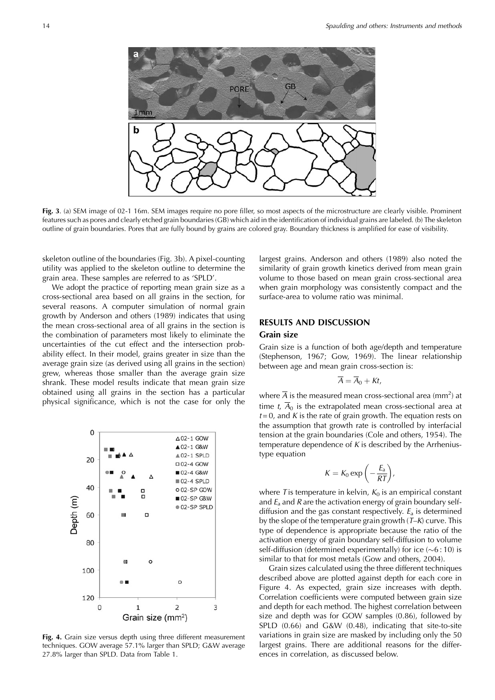

Fig. 3. (a) SEM image of 02-1 16m. SEM images require no pore filler, so most aspects of the microstructure are clearly visible. Prominent features such as pores and clearly etched grain boundaries (GB) which aid in the identification of individual grains are labeled. (b) The skeleton outline of grain boundaries. Pores that are fully bound by grains are colored gray. Boundary thickness is amplified for ease of visibility.

skeleton outline of the boundaries (Fig. 3b). A pixel-counting utility was applied to the skeleton outline to determine the grain area. These samples are referred to as 'SPLD'.

We adopt the practice of reporting mean grain size as a cross-sectional area based on all grains in the section, for several reasons. A computer simulation of normal grain growth by Anderson and others (1989) indicates that using the mean cross-sectional area of all grains in the section is the combination of parameters most likely to eliminate the uncertainties of the cut effect and the intersection probability effect. In their model, grains greater in size than the average grain size (as derived using all grains in the section) grew, whereas those smaller than the average grain size shrank. These model results indicate that mean grain size obtained using all grains in the section has a particular physical significance, which is not the case for only the



Fig. 4. Grain size versus depth using three different measurement techniques. GOW average 57.1% larger than SPLD; G&W average 27.8% larger than SPLD. Data from Table 1.

largest grains. Anderson and others (1989) also noted the similarity of grain growth kinetics derived from mean grain volume to those based on mean grain cross-sectional area when grain morphology was consistently compact and the surface-area to volume ratio was minimal.

## **RESULTS AND DISCUSSION**

#### Grain size

Grain size is a function of both age/depth and temperature (Stephenson, 1967; Gow, 1969). The linear relationship between age and mean grain cross-section is:

$$
\overline{A} = \overline{A}_0 + Kt,
$$

where  $\overline{A}$  is the measured mean cross-sectional area (mm<sup>2</sup>) at time t,  $\overline{A}_0$  is the extrapolated mean cross-sectional area at  $t=0$ , and K is the rate of grain growth. The equation rests on the assumption that growth rate is controlled by interfacial tension at the grain boundaries (Cole and others, 1954). The temperature dependence of  $K$  is described by the Arrheniustype equation

$$
K = K_0 \exp\left(-\frac{E_a}{RT}\right),
$$

where T is temperature in kelvin,  $K_0$  is an empirical constant and  $E_a$  and  $R$  are the activation energy of grain boundary selfdiffusion and the gas constant respectively.  $E_a$  is determined by the slope of the temperature grain growth  $(T-K)$  curve. This type of dependence is appropriate because the ratio of the activation energy of grain boundary self-diffusion to volume self-diffusion (determined experimentally) for ice  $(\sim 6:10)$  is similar to that for most metals (Gow and others, 2004).

Grain sizes calculated using the three different techniques described above are plotted against depth for each core in Figure 4. As expected, grain size increases with depth. Correlation coefficients were computed between grain size and depth for each method. The highest correlation between size and depth was for GOW samples (0.86), followed by SPLD (0.66) and G&W (0.48), indicating that site-to-site variations in grain size are masked by including only the 50 largest grains. There are additional reasons for the differences in correlation, as discussed below.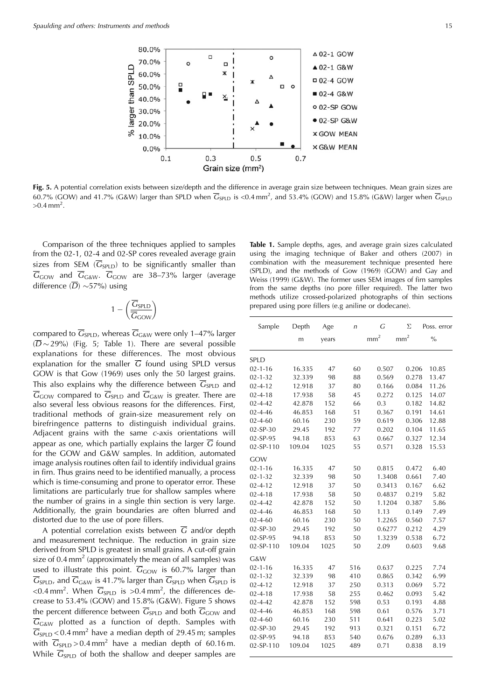

Fig. 5. A potential correlation exists between size/depth and the difference in average grain size between techniques. Mean grain sizes are 60.7% (GOW) and 41.7% (G&W) larger than SPLD when  $\overline{G}_{SPLD}$  is <0.4 mm<sup>2</sup>, and 53.4% (GOW) and 15.8% (G&W) larger when  $\overline{G}_{SPLD}$  $>0.4$  mm<sup>2</sup>.

Comparison of the three techniques applied to samples from the 02-1, 02-4 and 02-SP cores revealed average grain sizes from SEM ( $\overline{G}_{SPLD}$ ) to be significantly smaller than  $\overline{G}_{\text{GOW}}$  and  $\overline{G}_{\text{GAW}}$ .  $\overline{G}_{\text{GOW}}$  are 38–73% larger (average difference  $(\overline{D}) \sim 57\%$  using

$$
1 - \left(\frac{\overline{G}_{SPLD}}{\overline{G}_{GOW}}\right)
$$

compared to  $\overline{G}_{SPLD}$ , whereas  $\overline{G}_{G\&W}$  were only 1–47% larger  $(\overline{D} \sim 29\%)$  (Fig. 5; Table 1). There are several possible explanations for these differences. The most obvious explanation for the smaller  $\overline{G}$  found using SPLD versus GOW is that Gow (1969) uses only the 50 largest grains. This also explains why the difference between  $\overline{G}_{SPLD}$  and  $\overline{G}_{\text{GOW}}$  compared to  $\overline{G}_{\text{SPLD}}$  and  $\overline{G}_{\text{GAW}}$  is greater. There are also several less obvious reasons for the differences. First, traditional methods of grain-size measurement rely on birefringence patterns to distinguish individual grains. Adjacent grains with the same c-axis orientations will appear as one, which partially explains the larger  $\overline{G}$  found for the GOW and G&W samples. In addition, automated image analysis routines often fail to identify individual grains in firn. Thus grains need to be identified manually, a process which is time-consuming and prone to operator error. These limitations are particularly true for shallow samples where the number of grains in a single thin section is very large. Additionally, the grain boundaries are often blurred and distorted due to the use of pore fillers.

A potential correlation exists between  $\overline{G}$  and/or depth and measurement technique. The reduction in grain size derived from SPLD is greatest in small grains. A cut-off grain size of 0.4  $mm<sup>2</sup>$  (approximately the mean of all samples) was used to illustrate this point.  $\overline{G}_{\text{GOW}}$  is 60.7% larger than  $\overline{G}_{SPLD}$ , and  $\overline{G}_{G\&W}$  is 41.7% larger than  $\overline{G}_{SPLD}$  when  $\overline{G}_{SPLD}$  is <0.4 mm<sup>2</sup>. When  $\overline{G}_{SPLD}$  is >0.4 mm<sup>2</sup>, the differences decrease to 53.4% (GOW) and 15.8% (G&W). Figure 5 shows the percent difference between  $\overline{G}_{SPLD}$  and both  $\overline{G}_{GOW}$  and  $\overline{G}_{G\&W}$  plotted as a function of depth. Samples with  $\overline{G}_{SPLD}$  < 0.4 mm<sup>2</sup> have a median depth of 29.45 m; samples with  $\overline{G}_{SPLD} > 0.4$  mm<sup>2</sup> have a median depth of 60.16 m. While  $\overline{G}_{SPLD}$  of both the shallow and deeper samples are

Table 1. Sample depths, ages, and average grain sizes calculated using the imaging technique of Baker and others (2007) in combination with the measurement technique presented here (SPLD), and the methods of Gow (1969) (GOW) and Gay and Weiss (1999) (G&W). The former uses SEM images of firn samples from the same depths (no pore filler required). The latter two methods utilize crossed-polarized photographs of thin sections prepared using pore fillers (e.g aniline or dodecane).

| Sample        | Depth  | Age   | n   | G               | Σ             | Poss. error   |
|---------------|--------|-------|-----|-----------------|---------------|---------------|
|               | m      | years |     | mm <sup>2</sup> | $\text{mm}^2$ | $\frac{0}{0}$ |
| SPLD          |        |       |     |                 |               |               |
| $02 - 1 - 16$ | 16.335 | 47    | 60  | 0.507           | 0.206         | 10.85         |
| $02 - 1 - 32$ | 32.339 | 98    | 88  | 0.569           | 0.278         | 13.47         |
| $02 - 4 - 12$ | 12.918 | 37    | 80  | 0.166           | 0.084         | 11.26         |
| $02 - 4 - 18$ | 17.938 | 58    | 45  | 0.272           | 0.125         | 14.07         |
| $02 - 4 - 42$ | 42.878 | 152   | 66  | 0.3             | 0.182         | 14.82         |
| $02 - 4 - 46$ | 46.853 | 168   | 51  | 0.367           | 0.191         | 14.61         |
| $02 - 4 - 60$ | 60.16  | 230   | 59  | 0.619           | 0.306         | 12.88         |
| 02-SP-30      | 29.45  | 192   | 77  | 0.202           | 0.104         | 11.65         |
| 02-SP-95      | 94.18  | 853   | 63  | 0.667           | 0.327         | 12.34         |
| 02-SP-110     | 109.04 | 1025  | 55  | 0.571           | 0.328         | 15.53         |
| GOW           |        |       |     |                 |               |               |
| $02 - 1 - 16$ | 16.335 | 47    | 50  | 0.815           | 0.472         | 6.40          |
| $02 - 1 - 32$ | 32.339 | 98    | 50  | 1.3408          | 0.661         | 7.40          |
| $02 - 4 - 12$ | 12.918 | 37    | 50  | 0.3413          | 0.167         | 6.62          |
| $02 - 4 - 18$ | 17.938 | 58    | 50  | 0.4837          | 0.219         | 5.82          |
| $02 - 4 - 42$ | 42.878 | 152   | 50  | 1.1204          | 0.387         | 5.86          |
| $02 - 4 - 46$ | 46.853 | 168   | 50  | 1.13            | 0.149         | 7.49          |
| $02 - 4 - 60$ | 60.16  | 230   | 50  | 1.2265          | 0.560         | 7.57          |
| 02-SP-30      | 29.45  | 192   | 50  | 0.6277          | 0.212         | 4.29          |
| 02-SP-95      | 94.18  | 853   | 50  | 1.3239          | 0.538         | 6.72          |
| 02-SP-110     | 109.04 | 1025  | 50  | 2.09            | 0.603         | 9.68          |
| G&W           |        |       |     |                 |               |               |
| $02 - 1 - 16$ | 16.335 | 47    | 516 | 0.637           | 0.225         | 7.74          |
| $02 - 1 - 32$ | 32.339 | 98    | 410 | 0.865           | 0.342         | 6.99          |
| $02 - 4 - 12$ | 12.918 | 37    | 250 | 0.313           | 0.069         | 5.72          |
| $02 - 4 - 18$ | 17.938 | 58    | 255 | 0.462           | 0.093         | 5.42          |
| $02 - 4 - 42$ | 42.878 | 152   | 598 | 0.53            | 0.193         | 4.88          |
| $02 - 4 - 46$ | 46.853 | 168   | 598 | 0.61            | 0.576         | 3.71          |
| $02 - 4 - 60$ | 60.16  | 230   | 511 | 0.641           | 0.223         | 5.02          |
| 02-SP-30      | 29.45  | 192   | 913 | 0.321           | 0.151         | 6.72          |
| 02-SP-95      | 94.18  | 853   | 540 | 0.676           | 0.289         | 6.33          |
| 02-SP-110     | 109.04 | 1025  | 489 | 0.71            | 0.838         | 8.19          |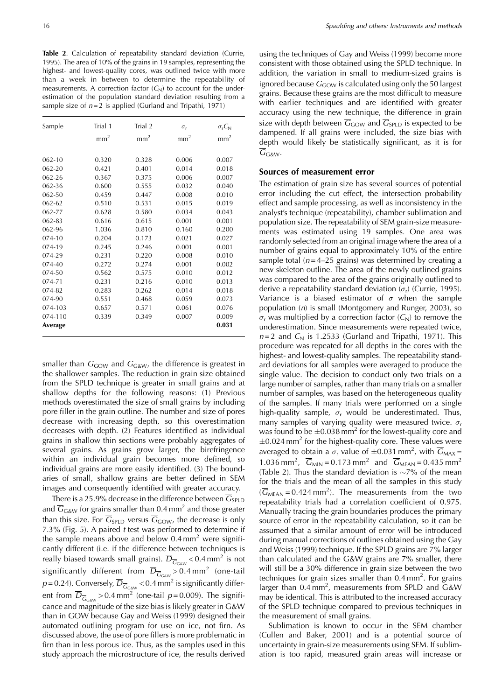Table 2. Calculation of repeatability standard deviation (Currie, 1995). The area of 10% of the grains in 19 samples, representing the highest- and lowest-quality cores, was outlined twice with more than a week in between to determine the repeatability of measurements. A correction factor  $(C_N)$  to account for the underestimation of the population standard deviation resulting from a sample size of  $n=2$  is applied (Gurland and Tripathi, 1971)

| Sample     | Trial 1<br>$\mathrm{mm}^2$ | Trial 2<br>$\mathrm{mm}^2$ | $\sigma_{\rm r}$<br>mm <sup>2</sup> | $\sigma_{r}C_{N}$<br>$\mbox{mm}^2$ |
|------------|----------------------------|----------------------------|-------------------------------------|------------------------------------|
|            |                            |                            |                                     |                                    |
| $062 - 10$ | 0.320                      | 0.328                      | 0.006                               | 0.007                              |
| 062-20     | 0.421                      | 0.401                      | 0.014                               | 0.018                              |
| 062-26     | 0.367                      | 0.375                      | 0.006                               | 0.007                              |
| 062-36     | 0.600                      | 0.555                      | 0.032                               | 0.040                              |
| 062-50     | 0.459                      | 0.447                      | 0.008                               | 0.010                              |
| $062 - 62$ | 0.510                      | 0.531                      | 0.015                               | 0.019                              |
| 062-77     | 0.628                      | 0.580                      | 0.034                               | 0.043                              |
| 062-83     | 0.616                      | 0.615                      | 0.001                               | 0.001                              |
| 062-96     | 1.036                      | 0.810                      | 0.160                               | 0.200                              |
| 074-10     | 0.204                      | 0.173                      | 0.021                               | 0.027                              |
| 074-19     | 0.245                      | 0.246                      | 0.001                               | 0.001                              |
| 074-29     | 0.231                      | 0.220                      | 0.008                               | 0.010                              |
| $074 - 40$ | 0.272                      | 0.274                      | 0.001                               | 0.002                              |
| 074-50     | 0.562                      | 0.575                      | 0.010                               | 0.012                              |
| 074-71     | 0.231                      | 0.216                      | 0.010                               | 0.013                              |
| 074-82     | 0.283                      | 0.262                      | 0.014                               | 0.018                              |
| 074-90     | 0.551                      | 0.468                      | 0.059                               | 0.073                              |
| 074-103    | 0.657                      | 0.571                      | 0.061                               | 0.076                              |
| 074-110    | 0.339                      | 0.349                      | 0.007                               | 0.009                              |
| Average    |                            |                            |                                     | 0.031                              |

smaller than  $\overline{G}_{\text{GOW}}$  and  $\overline{G}_{\text{GAW}}$ , the difference is greatest in the shallower samples. The reduction in grain size obtained from the SPLD technique is greater in small grains and at shallow depths for the following reasons: (1) Previous methods overestimated the size of small grains by including pore filler in the grain outline. The number and size of pores decrease with increasing depth, so this overestimation decreases with depth. (2) Features identified as individual grains in shallow thin sections were probably aggregates of several grains. As grains grow larger, the birefringence within an individual grain becomes more defined, so individual grains are more easily identified. (3) The boundaries of small, shallow grains are better defined in SEM images and consequently identified with greater accuracy.

There is a 25.9% decrease in the difference between  $\overline{G}_{SPLD}$ and  $\overline{G}_{G\&W}$  for grains smaller than 0.4 mm<sup>2</sup> and those greater than this size. For  $\overline{G}_{SPLD}$  versus  $\overline{G}_{GOW}$ , the decrease is only 7.3% (Fig. 5). A paired t test was performed to determine if the sample means above and below  $0.4$  mm<sup>2</sup> were significantly different (i.e. if the difference between techniques is really biased towards small grains).  $\overline{D}_{\overline{G}_{\text{Gaw}}}$  < 0.4 mm<sup>2</sup> is not significantly different from  $\overline{D}_{\overline{G}_{\text{Gaw}}} > 0.4 \text{ mm}^2$  (one-tail  $p=0.24$ ). Conversely,  $\overline{D}_{\overline{G}_{G\&N}}$  < 0.4 mm<sup>2</sup> is significantly different from  $\overline{D}_{\overline{G}_{G\&N}} > 0.4 \text{ mm}^2$  (one-tail  $p = 0.009$ ). The significance and magnitude of the size bias is likely greater in G&W than in GOW because Gay and Weiss (1999) designed their automated outlining program for use on ice, not firn. As discussed above, the use of pore fillers is more problematic in firn than in less porous ice. Thus, as the samples used in this study approach the microstructure of ice, the results derived using the techniques of Gay and Weiss (1999) become more consistent with those obtained using the SPLD technique. In addition, the variation in small to medium-sized grains is ignored because  $\overline{G}_{\text{GOW}}$  is calculated using only the 50 largest grains. Because these grains are the most difficult to measure with earlier techniques and are identified with greater accuracy using the new technique, the difference in grain size with depth between  $\overline{G}_{\text{GOW}}$  and  $\overline{G}_{\text{SPLD}}$  is expected to be dampened. If all grains were included, the size bias with depth would likely be statistically significant, as it is for  $\overline{G}_{G\&W}$ 

### Sources of measurement error

The estimation of grain size has several sources of potential error including the cut effect, the intersection probability effect and sample processing, as well as inconsistency in the analyst's technique (repeatability), chamber sublimation and population size. The repeatability of SEM grain-size measurements was estimated using 19 samples. One area was randomly selected from an original image where the area of a number of grains equal to approximately 10% of the entire sample total ( $n = 4-25$  grains) was determined by creating a new skeleton outline. The area of the newly outlined grains was compared to the area of the grains originally outlined to derive a repeatability standard deviation ( $\sigma_r$ ) (Currie, 1995). Variance is a biased estimator of  $\sigma$  when the sample population  $(n)$  is small (Montgomery and Runger, 2003), so  $\sigma_r$  was multiplied by a correction factor  $(C_N)$  to remove the underestimation. Since measurements were repeated twice,  $n=2$  and  $C_{\rm N}$  is 1.2533 (Gurland and Tripathi, 1971). This procedure was repeated for all depths in the cores with the highest- and lowest-quality samples. The repeatability standard deviations for all samples were averaged to produce the single value. The decision to conduct only two trials on a large number of samples, rather than many trials on a smaller number of samples, was based on the heterogeneous quality of the samples. If many trials were performed on a single high-quality sample,  $\sigma_r$  would be underestimated. Thus, many samples of varying quality were measured twice.  $\sigma_{\rm r}$ was found to be  $\pm 0.038$  mm<sup>2</sup> for the lowest-quality core and  $\pm$ 0.024 mm<sup>2</sup> for the highest-quality core. These values were averaged to obtain a  $\sigma_r$  value of  $\pm 0.031$  mm<sup>2</sup>, with  $\overline{G}_{MAX}$  = 1.036 mm<sup>2</sup>,  $\overline{G}_{MIN} = 0.173$  mm<sup>2</sup> and  $\overline{G}_{MLAN} = 0.435$  mm<sup>2</sup> (Table 2). Thus the standard deviation is  $\sim$ 7% of the mean for the trials and the mean of all the samples in this study  $(\overline{G}_{MEAN} = 0.424 \text{ mm}^2)$ . The measurements from the two repeatability trials had a correlation coefficient of 0.975. Manually tracing the grain boundaries produces the primary source of error in the repeatability calculation, so it can be assumed that a similar amount of error will be introduced during manual corrections of outlines obtained using the Gay and Weiss (1999) technique. If the SPLD grains are 7% larger than calculated and the G&W grains are 7% smaller, there will still be a 30% difference in grain size between the two techniques for grain sizes smaller than  $0.4$  mm<sup>2</sup>. For grains larger than 0.4 mm<sup>2</sup>, measurements from SPLD and G&W may be identical. This is attributed to the increased accuracy of the SPLD technique compared to previous techniques in the measurement of small grains.

Sublimation is known to occur in the SEM chamber (Cullen and Baker, 2001) and is a potential source of uncertainty in grain-size measurements using SEM. If sublimation is too rapid, measured grain areas will increase or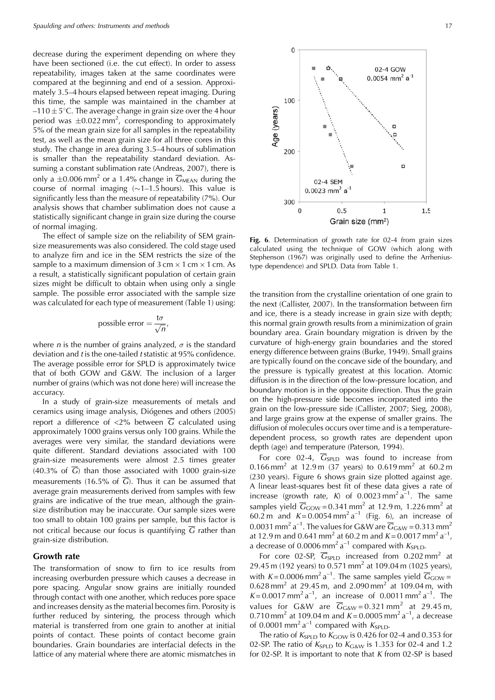decrease during the experiment depending on where they have been sectioned (i.e. the cut effect). In order to assess repeatability, images taken at the same coordinates were compared at the beginning and end of a session. Approximately 3.5-4 hours elapsed between repeat imaging. During this time, the sample was maintained in the chamber at  $-110 \pm 5^{\circ}$ C. The average change in grain size over the 4 hour period was  $\pm 0.022$  mm<sup>2</sup>, corresponding to approximately 5% of the mean grain size for all samples in the repeatability test, as well as the mean grain size for all three cores in this study. The change in area during 3.5–4 hours of sublimation is smaller than the repeatability standard deviation. Assuming a constant sublimation rate (Andreas, 2007), there is only a  $\pm 0.006$  mm<sup>2</sup> or a 1.4% change in  $\overline{G}_{MEAN}$  during the course of normal imaging  $(\sim 1-1.5 \text{ hours})$ . This value is significantly less than the measure of repeatability (7%). Our analysis shows that chamber sublimation does not cause a statistically significant change in grain size during the course of normal imaging.

The effect of sample size on the reliability of SEM grainsize measurements was also considered. The cold stage used to analyze firn and ice in the SEM restricts the size of the sample to a maximum dimension of  $3 \text{ cm} \times 1 \text{ cm} \times 1 \text{ cm}$ . As a result, a statistically significant population of certain grain sizes might be difficult to obtain when using only a single sample. The possible error associated with the sample size was calculated for each type of measurement (Table 1) using:

possible error = 
$$
\frac{t\sigma}{\sqrt{n}}
$$

where *n* is the number of grains analyzed,  $\sigma$  is the standard deviation and t is the one-tailed t statistic at 95% confidence. The average possible error for SPLD is approximately twice that of both GOW and G&W. The inclusion of a larger number of grains (which was not done here) will increase the accuracy.

In a study of grain-size measurements of metals and ceramics using image analysis, Diógenes and others (2005) report a difference of <2% between  $\overline{G}$  calculated using approximately 1000 grains versus only 100 grains. While the averages were very similar, the standard deviations were quite different. Standard deviations associated with 100 grain-size measurements were almost 2.5 times greater  $(40.3\% \text{ of } \overline{G})$  than those associated with 1000 grain-size measurements (16.5% of  $\overline{G}$ ). Thus it can be assumed that average grain measurements derived from samples with few grains are indicative of the true mean, although the grainsize distribution may be inaccurate. Our sample sizes were too small to obtain 100 grains per sample, but this factor is not critical because our focus is quantifying  $\overline{G}$  rather than grain-size distribution.

#### **Growth rate**

The transformation of snow to firn to ice results from increasing overburden pressure which causes a decrease in pore spacing. Angular snow grains are initially rounded through contact with one another, which reduces pore space and increases density as the material becomes firn. Porosity is further reduced by sintering, the process through which material is transferred from one grain to another at initial points of contact. These points of contact become grain boundaries. Grain boundaries are interfacial defects in the lattice of any material where there are atomic mismatches in



Fig. 6. Determination of growth rate for 02-4 from grain sizes calculated using the technique of GOW (which along with Stephenson (1967) was originally used to define the Arrheniustype dependence) and SPLD. Data from Table 1.

the transition from the crystalline orientation of one grain to the next (Callister, 2007). In the transformation between firn and ice, there is a steady increase in grain size with depth; this normal grain growth results from a minimization of grain boundary area. Grain boundary migration is driven by the curvature of high-energy grain boundaries and the stored energy difference between grains (Burke, 1949). Small grains are typically found on the concave side of the boundary, and the pressure is typically greatest at this location. Atomic diffusion is in the direction of the low-pressure location, and boundary motion is in the opposite direction. Thus the grain on the high-pressure side becomes incorporated into the grain on the low-pressure side (Callister, 2007; Sieg, 2008), and large grains grow at the expense of smaller grains. The diffusion of molecules occurs over time and is a temperaturedependent process, so growth rates are dependent upon depth (age) and temperature (Paterson, 1994).

For core 02-4,  $\overline{G}_{SPLD}$  was found to increase from 0.166 mm<sup>2</sup> at 12.9 m (37 years) to 0.619 mm<sup>2</sup> at 60.2 m (230 years). Figure 6 shows grain size plotted against age. A linear least-squares best fit of these data gives a rate of increase (growth rate, K) of 0.0023 mm<sup>2</sup> a<sup>-1</sup>. The same samples yield  $\overline{G}_{\text{GOW}} = 0.341 \text{ mm}^2$  at 12.9 m, 1.226 mm<sup>2</sup> at 60.2 m and  $K = 0.0054$  mm<sup>2</sup> a<sup>-1</sup> (Fig. 6), an increase of 0.0031 mm<sup>2</sup> a<sup>-1</sup>. The values for G&W are  $\overline{G}_{\text{GAW}} = 0.313$  mm<sup>2</sup> at 12.9 m and 0.641 mm<sup>2</sup> at 60.2 m and  $K = 0.0017$  mm<sup>2</sup> a<sup>-1</sup>, a decrease of 0.0006 mm<sup>2</sup> a<sup>-1</sup> compared with  $K_{\rm SPLD}$ .

For core 02-SP,  $\overline{G}_{SPLD}$  increased from 0.202 mm<sup>2</sup> at 29.45 m (192 years) to 0.571 mm<sup>2</sup> at 109.04 m (1025 years), with K = 0.0006 mm<sup>2</sup> a<sup>-1</sup>. The same samples yield  $\overline{G}_{\text{GOW}} =$ 0.628 mm<sup>2</sup> at 29.45 m, and 2.090 mm<sup>2</sup> at 109.04 m, with  $K = 0.0017$  mm<sup>2</sup> a<sup>-1</sup>, an increase of 0.0011 mm<sup>2</sup> a<sup>-1</sup>. The values for G&W are  $\overline{G}_{\text{GAW}} = 0.321 \text{ mm}^2$  at 29.45 m, 0.710 mm<sup>2</sup> at 109.04 m and  $K = 0.0005$  mm<sup>2</sup> a<sup>-1</sup>, a decrease of 0.0001 mm<sup>2</sup> a<sup>-1</sup> compared with  $K_{\text{SPLD}}$ .

The ratio of  $K_{\text{SPLD}}$  to  $K_{\text{GOW}}$  is 0.426 for 02-4 and 0.353 for 02-SP. The ratio of  $K_{SPLD}$  to  $K_{G\&W}$  is 1.353 for 02-4 and 1.2 for 02-SP. It is important to note that  $K$  from 02-SP is based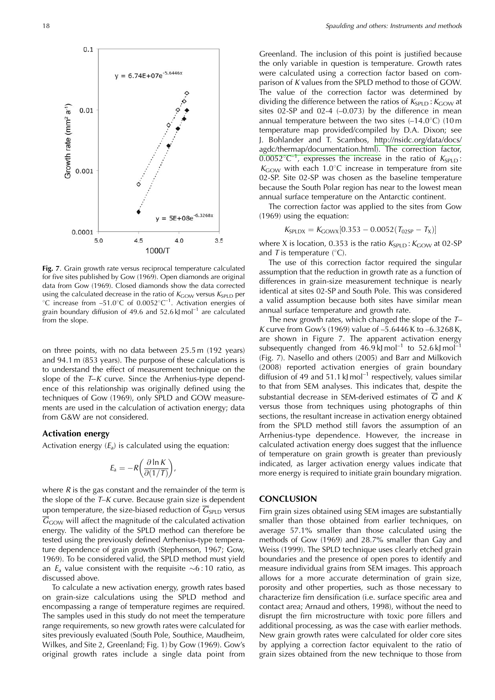

Fig. 7. Grain growth rate versus reciprocal temperature calculated for five sites published by Gow (1969). Open diamonds are original data from Gow (1969). Closed diamonds show the data corrected using the calculated decrease in the ratio of  $K_{\text{GOW}}$  versus  $K_{\text{SPL}}$  per °C increase from -51.0°C of 0.0052°C<sup>-1</sup>. Activation energies of grain boundary diffusion of 49.6 and 52.6 kJ mol<sup>-1</sup> are calculated from the slope.

on three points, with no data between 25.5 m (192 years) and 94.1 m (853 years). The purpose of these calculations is to understand the effect of measurement technique on the slope of the  $T-K$  curve. Since the Arrhenius-type dependence of this relationship was originally defined using the techniques of Gow (1969), only SPLD and GOW measurements are used in the calculation of activation energy; data from G&W are not considered.

#### **Activation energy**

Activation energy  $(E_a)$  is calculated using the equation:

$$
E_{\rm a} = -R \bigg( \frac{\partial \ln K}{\partial (1/T)} \bigg),
$$

where  $R$  is the gas constant and the remainder of the term is the slope of the  $T-K$  curve. Because grain size is dependent upon temperature, the size-biased reduction of  $\overline{G}_{SPLD}$  versus  $\overline{G}_{\text{GOW}}$  will affect the magnitude of the calculated activation energy. The validity of the SPLD method can therefore be tested using the previously defined Arrhenius-type temperature dependence of grain growth (Stephenson, 1967; Gow, 1969). To be considered valid, the SPLD method must yield an  $E_a$  value consistent with the requisite  $\sim 6:10$  ratio, as discussed above.

To calculate a new activation energy, growth rates based on grain-size calculations using the SPLD method and encompassing a range of temperature regimes are required. The samples used in this study do not meet the temperature range requirements, so new growth rates were calculated for sites previously evaluated (South Pole, Southice, Maudheim, Wilkes, and Site 2, Greenland; Fig. 1) by Gow (1969). Gow's original growth rates include a single data point from

Greenland. The inclusion of this point is justified because the only variable in question is temperature. Growth rates were calculated using a correction factor based on comparison of K values from the SPLD method to those of GOW. The value of the correction factor was determined by dividing the difference between the ratios of  $K_{SPLD}$ :  $K_{GOW}$  at sites  $02$ -SP and  $02-4$   $(-0.073)$  by the difference in mean annual temperature between the two sites  $(-14.0^{\circ}C)$  (10 m temperature map provided/compiled by D.A. Dixon; see J. Bohlander and T. Scambos, http://nsidc.org/data/docs/ agdc/thermap/documentation.html). The correction factor,  $\overline{0.0052^{\circ}C^{-1}}$ , expresses the increase in the ratio of  $K_{SPLD}$ :  $K_{\text{GOW}}$  with each 1.0°C increase in temperature from site 02-SP. Site 02-SP was chosen as the baseline temperature because the South Polar region has near to the lowest mean annual surface temperature on the Antarctic continent.

The correction factor was applied to the sites from Gow  $(1969)$  using the equation:

$$
K_{\text{SPLDX}} = K_{\text{GOWX}}[0.353 - 0.0052(T_{02SP} - T_X)]
$$

where X is location, 0.353 is the ratio  $K_{\text{SPLD}}$ :  $K_{\text{GOW}}$  at 02-SP and T is temperature  $(^{\circ}C)$ .

The use of this correction factor required the singular assumption that the reduction in growth rate as a function of differences in grain-size measurement technique is nearly identical at sites 02-SP and South Pole. This was considered a valid assumption because both sites have similar mean annual surface temperature and growth rate.

The new growth rates, which changed the slope of the  $T-$ K curve from Gow's (1969) value of  $-5.6446$  K to  $-6.3268$  K, are shown in Figure 7. The apparent activation energy subsequently changed from  $46.9 \text{ kJ}$  mol<sup>-1</sup> to  $52.6 \text{ kJ}$  mol<sup>-1</sup> (Fig. 7). Nasello and others (2005) and Barr and Milkovich (2008) reported activation energies of grain boundary diffusion of 49 and 51.1 kJ mol<sup>-1</sup> respectively, values similar to that from SEM analyses. This indicates that, despite the substantial decrease in SEM-derived estimates of  $\overline{G}$  and K versus those from techniques using photographs of thin sections, the resultant increase in activation energy obtained from the SPLD method still favors the assumption of an Arrhenius-type dependence. However, the increase in calculated activation energy does suggest that the influence of temperature on grain growth is greater than previously indicated, as larger activation energy values indicate that more energy is required to initiate grain boundary migration.

#### **CONCLUSION**

Firn grain sizes obtained using SEM images are substantially smaller than those obtained from earlier techniques, on average 57.1% smaller than those calculated using the methods of Gow (1969) and 28.7% smaller than Gay and Weiss (1999). The SPLD technique uses clearly etched grain boundaries and the presence of open pores to identify and measure individual grains from SEM images. This approach allows for a more accurate determination of grain size, porosity and other properties, such as those necessary to characterize firn densification (i.e. surface specific area and contact area; Arnaud and others, 1998), without the need to disrupt the firn microstructure with toxic pore fillers and additional processing, as was the case with earlier methods. New grain growth rates were calculated for older core sites by applying a correction factor equivalent to the ratio of grain sizes obtained from the new technique to those from